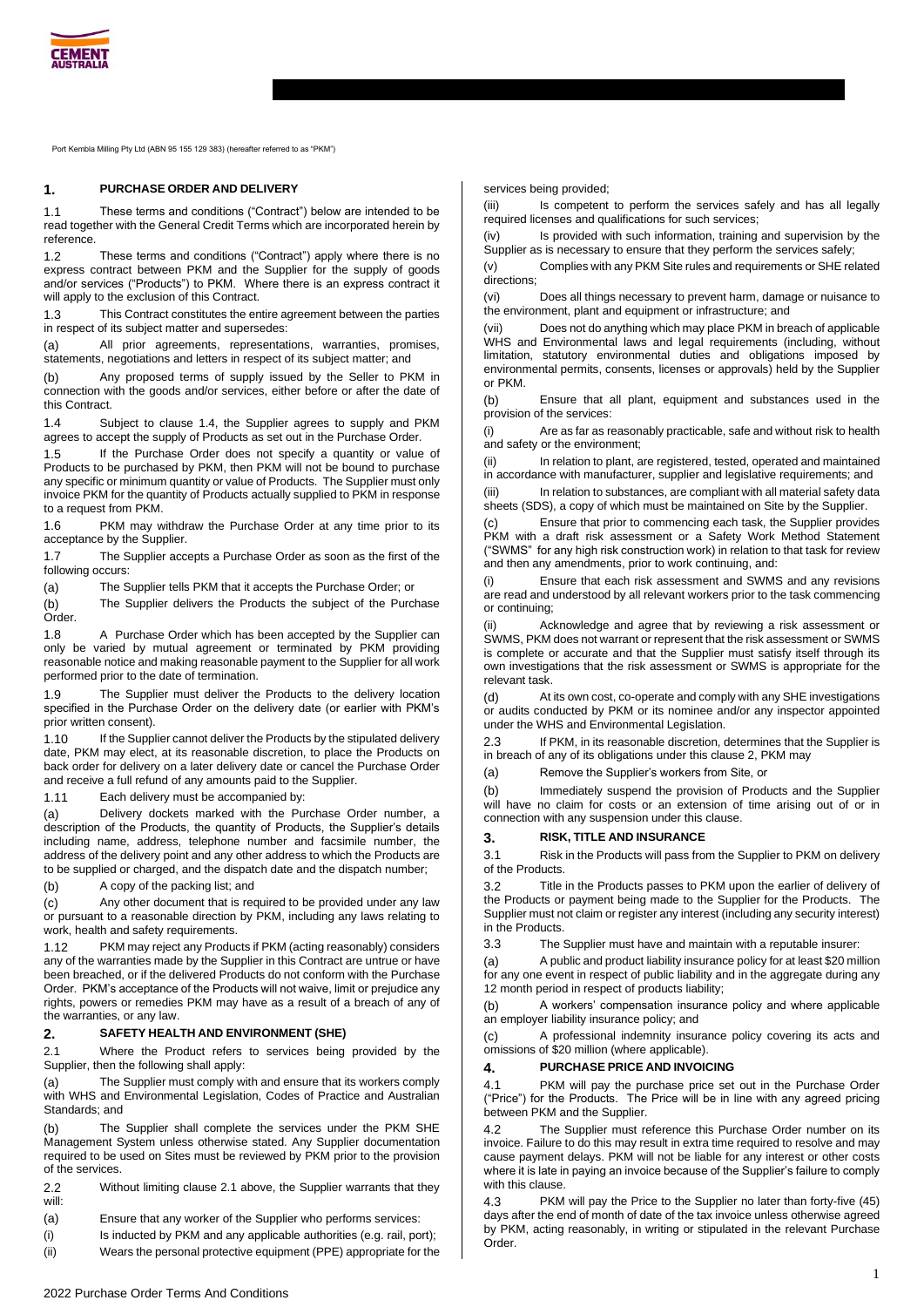

Port Kembla Milling Pty Ltd (ABN 95 155 129 383) (hereafter referred to as "PKM")

## **1. PURCHASE ORDER AND DELIVERY**

1.1 These terms and conditions ("Contract") below are intended to be read together with the General Credit Terms which are incorporated herein by reference.

1.2 These terms and conditions ("Contract") apply where there is no express contract between PKM and the Supplier for the supply of goods and/or services ("Products") to PKM. Where there is an express contract it will apply to the exclusion of this Contract.

1.3 This Contract constitutes the entire agreement between the parties in respect of its subject matter and supersedes:

(a) All prior agreements, representations, warranties, promises, statements, negotiations and letters in respect of its subject matter; and

(b) Any proposed terms of supply issued by the Seller to PKM in connection with the goods and/or services, either before or after the date of this Contract.

1.4 Subject to clause 1.4, the Supplier agrees to supply and PKM agrees to accept the supply of Products as set out in the Purchase Order.

1.5 If the Purchase Order does not specify a quantity or value of Products to be purchased by PKM, then PKM will not be bound to purchase any specific or minimum quantity or value of Products. The Supplier must only invoice PKM for the quantity of Products actually supplied to PKM in response to a request from PKM.

1.6 PKM may withdraw the Purchase Order at any time prior to its acceptance by the Supplier.

1.7 The Supplier accepts a Purchase Order as soon as the first of the following occurs:

(a) The Supplier tells PKM that it accepts the Purchase Order; or

(b) The Supplier delivers the Products the subject of the Purchase Order.

1.8 A Purchase Order which has been accepted by the Supplier can only be varied by mutual agreement or terminated by PKM providing reasonable notice and making reasonable payment to the Supplier for all work performed prior to the date of termination.

1.9 The Supplier must deliver the Products to the delivery location specified in the Purchase Order on the delivery date (or earlier with PKM's prior written consent).

1.10 If the Supplier cannot deliver the Products by the stipulated delivery date, PKM may elect, at its reasonable discretion, to place the Products on back order for delivery on a later delivery date or cancel the Purchase Order and receive a full refund of any amounts paid to the Supplier.

1.11 Each delivery must be accompanied by:

(a) Delivery dockets marked with the Purchase Order number, a description of the Products, the quantity of Products, the Supplier's details including name, address, telephone number and facsimile number, the address of the delivery point and any other address to which the Products are to be supplied or charged, and the dispatch date and the dispatch number;

(b) A copy of the packing list; and

(c) Any other document that is required to be provided under any law or pursuant to a reasonable direction by PKM, including any laws relating to work, health and safety requirements.

1.12 PKM may reject any Products if PKM (acting reasonably) considers any of the warranties made by the Supplier in this Contract are untrue or have been breached, or if the delivered Products do not conform with the Purchase Order. PKM's acceptance of the Products will not waive, limit or prejudice any rights, powers or remedies PKM may have as a result of a breach of any of the warranties, or any law.

## **2. SAFETY HEALTH AND ENVIRONMENT (SHE)**

2.1 Where the Product refers to services being provided by the Supplier, then the following shall apply:

(a) The Supplier must comply with and ensure that its workers comply with WHS and Environmental Legislation, Codes of Practice and Australian Standards; and

(b) The Supplier shall complete the services under the PKM SHE Management System unless otherwise stated. Any Supplier documentation required to be used on Sites must be reviewed by PKM prior to the provision of the services.

2.2 Without limiting clause 2.1 above, the Supplier warrants that they will:

(a) Ensure that any worker of the Supplier who performs services:

(i) Is inducted by PKM and any applicable authorities (e.g. rail, port);

(ii) Wears the personal protective equipment (PPE) appropriate for the

services being provided;

(iii) Is competent to perform the services safely and has all legally required licenses and qualifications for such services;

(iv) Is provided with such information, training and supervision by the Supplier as is necessary to ensure that they perform the services safely;

(v) Complies with any PKM Site rules and requirements or SHE related directions;

(vi) Does all things necessary to prevent harm, damage or nuisance to the environment, plant and equipment or infrastructure; and

(vii) Does not do anything which may place PKM in breach of applicable WHS and Environmental laws and legal requirements (including, without limitation, statutory environmental duties and obligations imposed by environmental permits, consents, licenses or approvals) held by the Supplier or PKM.

(b) Ensure that all plant, equipment and substances used in the provision of the services:

(i) Are as far as reasonably practicable, safe and without risk to health and safety or the environment;

(ii) In relation to plant, are registered, tested, operated and maintained in accordance with manufacturer, supplier and legislative requirements; and (iii) In relation to substances, are compliant with all material safety data sheets (SDS), a copy of which must be maintained on Site by the Supplier.

(c) Ensure that prior to commencing each task, the Supplier provides PKM with a draft risk assessment or a Safety Work Method Statement ("SWMS" for any high risk construction work) in relation to that task for review and then any amendments, prior to work continuing, and:

Ensure that each risk assessment and SWMS and any revisions are read and understood by all relevant workers prior to the task commencing or continuing;

Acknowledge and agree that by reviewing a risk assessment or SWMS, PKM does not warrant or represent that the risk assessment or SWMS is complete or accurate and that the Supplier must satisfy itself through its own investigations that the risk assessment or SWMS is appropriate for the relevant task.

(d) At its own cost, co-operate and comply with any SHE investigations or audits conducted by PKM or its nominee and/or any inspector appointed under the WHS and Environmental Legislation.

2.3 If PKM, in its reasonable discretion, determines that the Supplier is in breach of any of its obligations under this clause 2, PKM may

(a) Remove the Supplier's workers from Site, or

(b) Immediately suspend the provision of Products and the Supplier will have no claim for costs or an extension of time arising out of or in connection with any suspension under this clause.

### **3. RISK, TITLE AND INSURANCE**

3.1 Risk in the Products will pass from the Supplier to PKM on delivery of the Products.

3.2 Title in the Products passes to PKM upon the earlier of delivery of the Products or payment being made to the Supplier for the Products. The Supplier must not claim or register any interest (including any security interest) in the Products.

3.3 The Supplier must have and maintain with a reputable insurer:

A public and product liability insurance policy for at least \$20 million for any one event in respect of public liability and in the aggregate during any 12 month period in respect of products liability;

(b) A workers' compensation insurance policy and where applicable an employer liability insurance policy; and

(c) A professional indemnity insurance policy covering its acts and omissions of \$20 million (where applicable).

### **4. PURCHASE PRICE AND INVOICING**

4.1 PKM will pay the purchase price set out in the Purchase Order ("Price") for the Products. The Price will be in line with any agreed pricing between PKM and the Supplier.

4.2 The Supplier must reference this Purchase Order number on its invoice. Failure to do this may result in extra time required to resolve and may cause payment delays. PKM will not be liable for any interest or other costs where it is late in paying an invoice because of the Supplier's failure to comply with this clause.

4.3 PKM will pay the Price to the Supplier no later than forty-five (45) days after the end of month of date of the tax invoice unless otherwise agreed by PKM, acting reasonably, in writing or stipulated in the relevant Purchase Order.